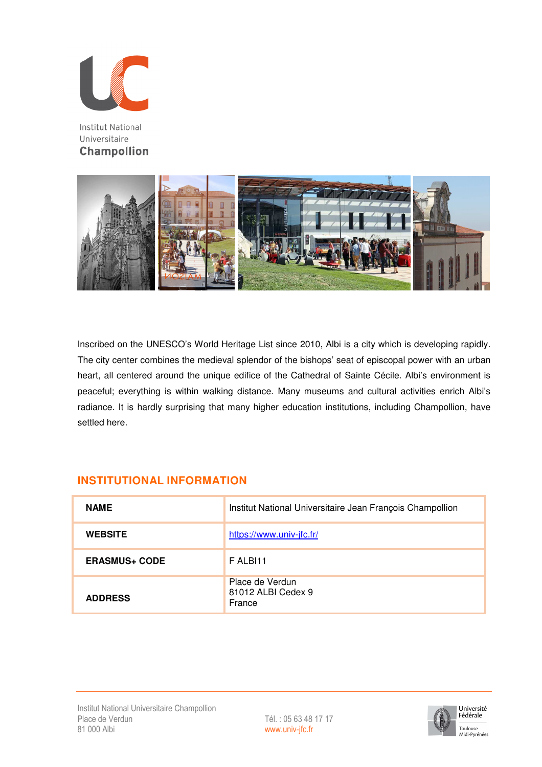

**Institut National** Universitaire **Champollion** 



Inscribed on the UNESCO's World Heritage List since 2010, Albi is a city which is developing rapidly. The city center combines the medieval splendor of the bishops' seat of episcopal power with an urban heart, all centered around the unique edifice of the Cathedral of Sainte Cécile. Albi's environment is peaceful; everything is within walking distance. Many museums and cultural activities enrich Albi's radiance. It is hardly surprising that many higher education institutions, including Champollion, have settled here.

### **INSTITUTIONAL INFORMATION**

| <b>NAME</b>          | Institut National Universitaire Jean François Champollion |
|----------------------|-----------------------------------------------------------|
| <b>WEBSITE</b>       | https://www.univ-jfc.fr/                                  |
| <b>ERASMUS+ CODE</b> | F ALBI11                                                  |
| <b>ADDRESS</b>       | Place de Verdun<br>81012 ALBI Cedex 9<br>France           |

www.univ-jfc.fr

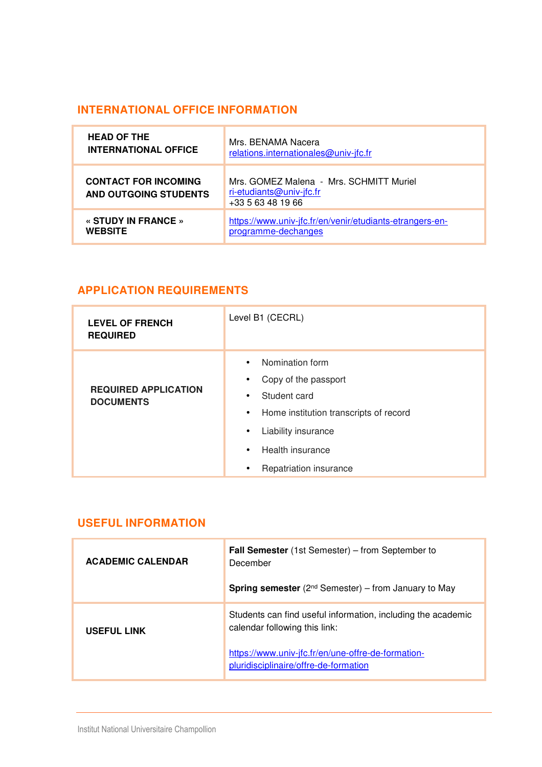# **INTERNATIONAL OFFICE INFORMATION**

| <b>HEAD OF THE</b>                                   | Mrs. BENAMA Nacera                                                                       |
|------------------------------------------------------|------------------------------------------------------------------------------------------|
| <b>INTERNATIONAL OFFICE</b>                          | relations.internationales@univ-jfc.fr                                                    |
| <b>CONTACT FOR INCOMING</b><br>AND OUTGOING STUDENTS | Mrs. GOMEZ Malena - Mrs. SCHMITT Muriel<br>ri-etudiants@univ-jfc.fr<br>+33 5 63 48 19 66 |
| « STUDY IN FRANCE »                                  | https://www.univ-jfc.fr/en/venir/etudiants-etrangers-en-                                 |
| <b>WEBSITE</b>                                       | programme-dechanges                                                                      |

## **APPLICATION REQUIREMENTS**

| <b>LEVEL OF FRENCH</b><br><b>REQUIRED</b>       | Level B1 (CECRL)                                                                                                                                                                                                                                                  |
|-------------------------------------------------|-------------------------------------------------------------------------------------------------------------------------------------------------------------------------------------------------------------------------------------------------------------------|
| <b>REQUIRED APPLICATION</b><br><b>DOCUMENTS</b> | Nomination form<br>$\bullet$<br>Copy of the passport<br>$\bullet$<br>Student card<br>$\bullet$<br>Home institution transcripts of record<br>$\bullet$<br>Liability insurance<br>$\bullet$<br>Health insurance<br>$\bullet$<br>Repatriation insurance<br>$\bullet$ |

#### **USEFUL INFORMATION**

| <b>ACADEMIC CALENDAR</b> | <b>Fall Semester</b> (1st Semester) – from September to<br>December<br><b>Spring semester</b> ( $2^{nd}$ Semester) – from January to May                                                     |
|--------------------------|----------------------------------------------------------------------------------------------------------------------------------------------------------------------------------------------|
| <b>USEFUL LINK</b>       | Students can find useful information, including the academic<br>calendar following this link:<br>https://www.univ-jfc.fr/en/une-offre-de-formation-<br>pluridisciplinaire/offre-de-formation |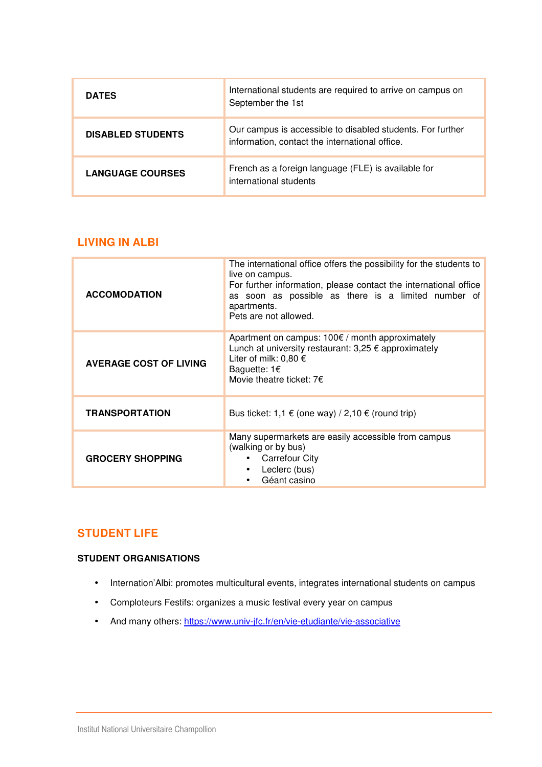| <b>DATES</b>             | International students are required to arrive on campus on<br>September the 1st                              |
|--------------------------|--------------------------------------------------------------------------------------------------------------|
| <b>DISABLED STUDENTS</b> | Our campus is accessible to disabled students. For further<br>information, contact the international office. |
| <b>LANGUAGE COURSES</b>  | French as a foreign language (FLE) is available for<br>international students                                |

#### **LIVING IN ALBI**

| <b>ACCOMODATION</b>           | The international office offers the possibility for the students to<br>live on campus.<br>For further information, please contact the international office<br>as soon as possible as there is a limited number of<br>apartments.<br>Pets are not allowed. |
|-------------------------------|-----------------------------------------------------------------------------------------------------------------------------------------------------------------------------------------------------------------------------------------------------------|
| <b>AVERAGE COST OF LIVING</b> | Apartment on campus: $100 \epsilon$ / month approximately<br>Lunch at university restaurant: $3,25 \notin$ approximately<br>Liter of milk: $0,80 \in$<br>Baguette: $1 \in$<br>Movie theatre ticket: $7 \epsilon$                                          |
| <b>TRANSPORTATION</b>         | Bus ticket: 1,1 € (one way) / 2,10 € (round trip)                                                                                                                                                                                                         |
| <b>GROCERY SHOPPING</b>       | Many supermarkets are easily accessible from campus<br>(walking or by bus)<br><b>Carrefour City</b><br>Leclerc (bus)<br>$\bullet$<br>Géant casino                                                                                                         |

### **STUDENT LIFE**

#### **STUDENT ORGANISATIONS**

- Internation'Albi: promotes multicultural events, integrates international students on campus
- Comploteurs Festifs: organizes a music festival every year on campus
- And many others: https://www.univ-jfc.fr/en/vie-etudiante/vie-associative